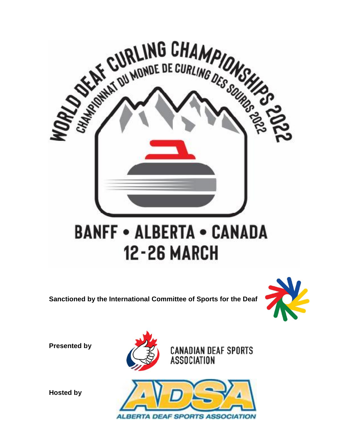

**Sanctioned by the International Committee of Sports for the Deaf**



**Presented by**







**Hosted by**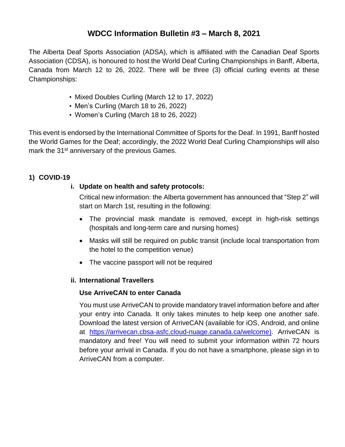# **WDCC Information Bulletin #3 – March 8, 2021**

The Alberta Deaf Sports Association (ADSA), which is affiliated with the Canadian Deaf Sports Association (CDSA), is honoured to host the World Deaf Curling Championships in Banff, Alberta, Canada from March 12 to 26, 2022. There will be three (3) official curling events at these Championships:

- Mixed Doubles Curling (March 12 to 17, 2022)
- Men's Curling (March 18 to 26, 2022)
- Women's Curling (March 18 to 26, 2022)

This event is endorsed by the International Committee of Sports for the Deaf. In 1991, Banff hosted the World Games for the Deaf; accordingly, the 2022 World Deaf Curling Championships will also mark the 31<sup>st</sup> anniversary of the previous Games.

# **1) COVID-19**

# **i. Update on health and safety protocols:**

Critical new information: the Alberta government has announced that "Step 2" will start on March 1st, resulting in the following:

- The provincial mask mandate is removed, except in high-risk settings (hospitals and long-term care and nursing homes)
- Masks will still be required on public transit (include local transportation from the hotel to the competition venue)
- The vaccine passport will not be required

# **ii. International Travellers**

# **Use ArriveCAN to enter Canada**

You must use ArriveCAN to provide mandatory travel information before and after your entry into Canada. It only takes minutes to help keep one another safe. Download the latest version of ArriveCAN (available for iOS, Android, and online at [https://arrivecan.cbsa-asfc.cloud-nuage.canada.ca/welcome\)](https://arrivecan.cbsa-asfc.cloud-nuage.canada.ca/welcome). ArriveCAN is mandatory and free! You will need to submit your information within 72 hours before your arrival in Canada. If you do not have a smartphone, please sign in to ArriveCAN from a computer.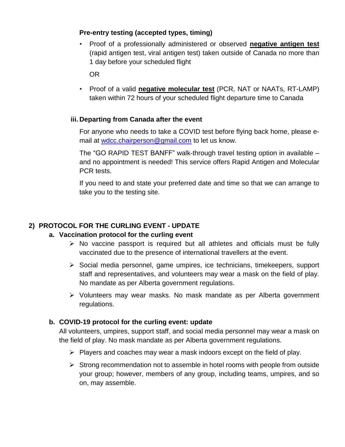# **Pre-entry testing (accepted types, timing)**

• Proof of a professionally administered or observed **negative antigen test** (rapid antigen test, viral antigen test) taken outside of Canada no more than 1 day before your scheduled flight

OR

• Proof of a valid **negative molecular test** (PCR, NAT or NAATs, RT-LAMP) taken within 72 hours of your scheduled flight departure time to Canada

#### **iii. Departing from Canada after the event**

For anyone who needs to take a COVID test before flying back home, please email at [wdcc.chairperson@gmail.com](mailto:wdcc.chairperson@gmail.com) to let us know.

The "GO RAPID TEST BANFF" walk-through travel testing option in available – and no appointment is needed! This service offers Rapid Antigen and Molecular PCR tests.

If you need to and state your preferred date and time so that we can arrange to take you to the testing site.

# **2) PROTOCOL FOR THE CURLING EVENT - UPDATE**

#### **a. Vaccination protocol for the curling event**

- $\triangleright$  No vaccine passport is required but all athletes and officials must be fully vaccinated due to the presence of international travellers at the event.
- $\triangleright$  Social media personnel, game umpires, ice technicians, time keepers, support staff and representatives, and volunteers may wear a mask on the field of play. No mandate as per Alberta government regulations.
- $\triangleright$  Volunteers may wear masks. No mask mandate as per Alberta government regulations.

#### **b. COVID-19 protocol for the curling event: update**

All volunteers, umpires, support staff, and social media personnel may wear a mask on the field of play. No mask mandate as per Alberta government regulations.

- $\triangleright$  Players and coaches may wear a mask indoors except on the field of play.
- $\triangleright$  Strong recommendation not to assemble in hotel rooms with people from outside your group; however, members of any group, including teams, umpires, and so on, may assemble.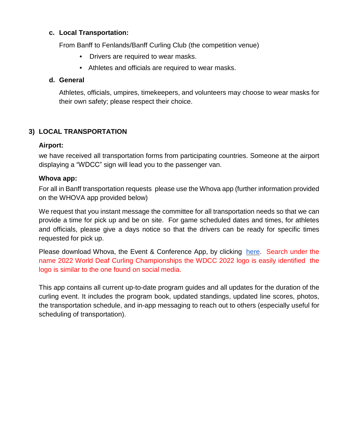#### **c. Local Transportation:**

From Banff to Fenlands/Banff Curling Club (the competition venue)

- Drivers are required to wear masks.
- Athletes and officials are required to wear masks.

### **d. General**

Athletes, officials, umpires, timekeepers, and volunteers may choose to wear masks for their own safety; please respect their choice.

# **3) LOCAL TRANSPORTATION**

# **Airport:**

we have received all transportation forms from participating countries. Someone at the airport displaying a "WDCC" sign will lead you to the passenger van.

#### **Whova app:**

For all in Banff transportation requests please use the Whova app (further information provided on the WHOVA app provided below)

We request that you instant message the committee for all transportation needs so that we can provide a time for pick up and be on site. For game scheduled dates and times, for athletes and officials, please give a days notice so that the drivers can be ready for specific times requested for pick up.

Please download Whova, the Event & Conference App, by clicking [here.](https://play.google.com/store/apps/details?id=com.whova.event&hl=en&gl=US) Search under the name 2022 World Deaf Curling Championships the WDCC 2022 logo is easily identified the logo is similar to the one found on social media.

This app contains all current up-to-date program guides and all updates for the duration of the curling event. It includes the program book, updated standings, updated line scores, photos, the transportation schedule, and in-app messaging to reach out to others (especially useful for scheduling of transportation).